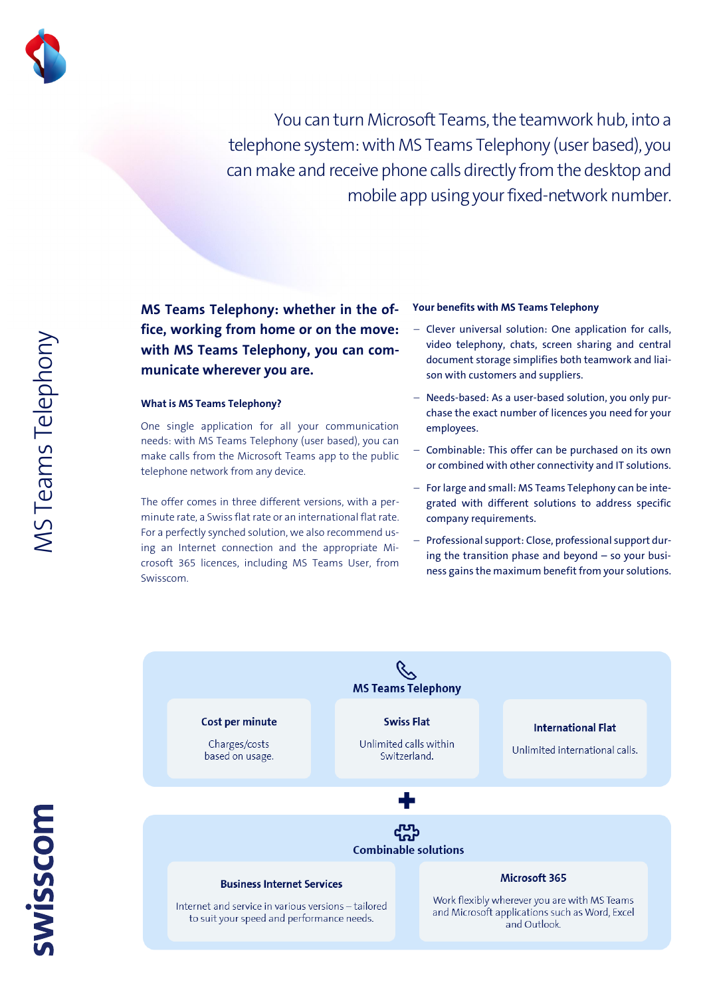

You can turn Microsoft Teams, the teamwork hub, into a telephone system: with MS Teams Telephony (user based), you can make and receive phone calls directly from the desktop and mobile app using your fixed-network number.

**MS Teams Telephony: whether in the office, working from home or on the move: with MS Teams Telephony, you can communicate wherever you are.**

#### **What is MS Teams Telephony?**

One single application for all your communication needs: with MS Teams Telephony (user based), you can make calls from the Microsoft Teams app to the public telephone network from any device.

The offer comes in three different versions, with a perminute rate, a Swiss flat rate or an international flat rate. For a perfectly synched solution, we also recommend using an Internet connection and the appropriate Microsoft 365 licences, including MS Teams User, from Swisscom.

#### **Your benefits with MS Teams Telephony**

- **Clever universal solution: One application for calls, video telephony, chats, screen sharing and central document storage simplifies both teamwork and liaison with customers and suppliers.**
- **Needs-based: As a user-based solution, you only purchase the exact number of licences you need for your employees.**
- **Combinable: This offer can be purchased on its own or combined with other connectivity and IT solutions.**
- **For large and small: MS Teams Telephony can be integrated with different solutions to address specific company requirements.**
- **Professional support: Close, professional support during the transition phase and beyond – so your business gains the maximum benefit from your solutions.**

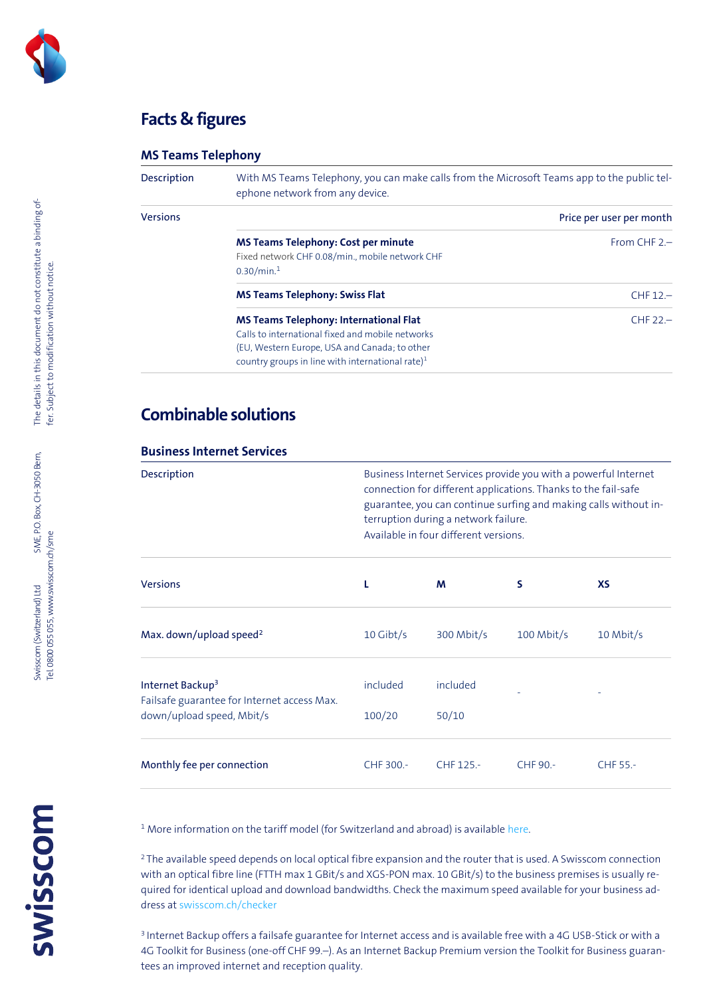

## **Facts & figures**

### **MS Teams Telephony**

| <b>Description</b> | With MS Teams Telephony, you can make calls from the Microsoft Teams app to the public tel-<br>ephone network from any device.                                                                                     |                          |  |
|--------------------|--------------------------------------------------------------------------------------------------------------------------------------------------------------------------------------------------------------------|--------------------------|--|
| <b>Versions</b>    |                                                                                                                                                                                                                    | Price per user per month |  |
|                    | <b>MS Teams Telephony: Cost per minute</b><br>Fixed network CHF 0.08/min., mobile network CHF<br>0.30/min. <sup>1</sup>                                                                                            | From CHF $2$ .           |  |
|                    | <b>MS Teams Telephony: Swiss Flat</b>                                                                                                                                                                              | $CHF12-$                 |  |
|                    | <b>MS Teams Telephony: International Flat</b><br>Calls to international fixed and mobile networks<br>(EU, Western Europe, USA and Canada; to other<br>country groups in line with international rate) <sup>1</sup> | $CHF 22 -$               |  |

# **Combinable solutions**

### **Business Internet Services**

| Description                                                                 | Business Internet Services provide you with a powerful Internet<br>connection for different applications. Thanks to the fail-safe<br>guarantee, you can continue surfing and making calls without in-<br>terruption during a network failure.<br>Available in four different versions. |            |              |           |
|-----------------------------------------------------------------------------|----------------------------------------------------------------------------------------------------------------------------------------------------------------------------------------------------------------------------------------------------------------------------------------|------------|--------------|-----------|
| <b>Versions</b>                                                             |                                                                                                                                                                                                                                                                                        | M          | s            | <b>XS</b> |
| Max. down/upload speed <sup>2</sup>                                         | $10$ Gibt/s                                                                                                                                                                                                                                                                            | 300 Mbit/s | $100$ Mbit/s | 10 Mbit/s |
| Internet Backup <sup>3</sup><br>Failsafe guarantee for Internet access Max. | included                                                                                                                                                                                                                                                                               | included   |              |           |
| down/upload speed, Mbit/s                                                   | 100/20                                                                                                                                                                                                                                                                                 | 50/10      |              |           |
| Monthly fee per connection                                                  | CHF 300.-                                                                                                                                                                                                                                                                              | CHF 125.-  | CHF 90.-     | CHF 55.-  |

<sup>1</sup> More information on the tariff model (for Switzerland and abroad) is available [here.](https://documents.swisscom.com/product/filestore/lib/57a710e3-0288-4443-84a6-2d03e80cf181/tarifmodell_msteamstelephony_kmu-en.pdf)

<sup>2</sup>The available speed depends on local optical fibre expansion and the router that is used. A Swisscom connection with an optical fibre line (FTTH max 1 GBit/s and XGS-PON max. 10 GBit/s) to the business premises is usually required for identical upload and download bandwidths. Check the maximum speed available for your business address a[t swisscom.ch/checker](https://www.swisscom.ch/de/privatkunden/checker.html?login&campID=SC_checker&nevistokenconsume&error=NOT_LOGGED_IN)

3 Internet Backup offers a failsafe guarantee for Internet access and is available free with a 4G USB-Stick or with a 4G Toolkit for Business (one-off CHF 99.–). As an Internet Backup Premium version the Toolkit for Business guarantees an improved internet and reception quality.